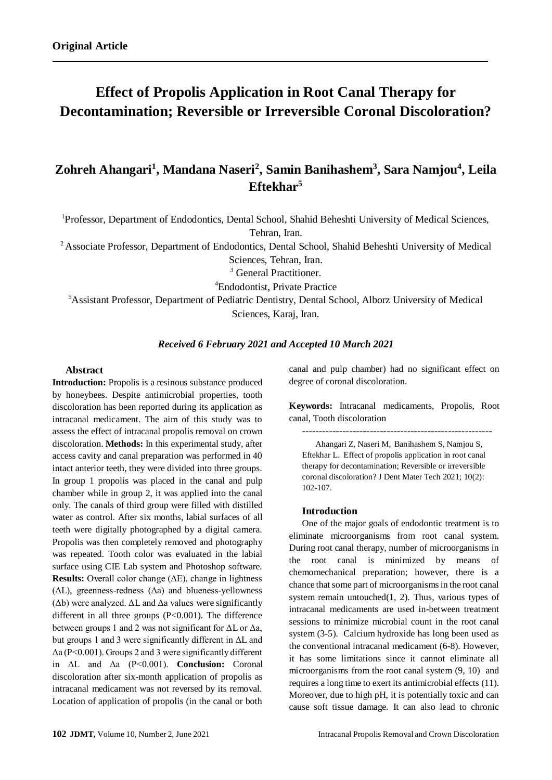# **Effect of Propolis Application in Root Canal Therapy for Decontamination; Reversible or Irreversible Coronal Discoloration?**

# **Zohreh Ahangari<sup>1</sup> , Mandana Naseri<sup>2</sup> , Samin Banihashem<sup>3</sup> , Sara Namjou<sup>4</sup> , Leila Eftekhar<sup>5</sup>**

<sup>1</sup>Professor, Department of Endodontics, Dental School, Shahid Beheshti University of Medical Sciences, Tehran, Iran.

<sup>2</sup> Associate Professor, Department of Endodontics, Dental School, Shahid Beheshti University of Medical Sciences, Tehran, Iran.

<sup>3</sup> General Practitioner.

<sup>4</sup>Endodontist, Private Practice

<sup>5</sup>Assistant Professor, Department of Pediatric Dentistry, Dental School, Alborz University of Medical Sciences, Karaj, Iran.

# *Received 6 February 2021 and Accepted 10 March 2021*

# **Abstract**

**Introduction:** Propolis is a resinous substance produced by honeybees. Despite antimicrobial properties, tooth discoloration has been reported during its application as intracanal medicament. The aim of this study was to assess the effect of intracanal propolis removal on crown discoloration. **Methods:** In this experimental study, after access cavity and canal preparation was performed in 40 intact anterior teeth, they were divided into three groups. In group 1 propolis was placed in the canal and pulp chamber while in group 2, it was applied into the canal only. The canals of third group were filled with distilled water as control. After six months, labial surfaces of all teeth were digitally photographed by a digital camera. Propolis was then completely removed and photography was repeated. Tooth color was evaluated in the labial surface using CIE Lab system and Photoshop software. **Results:** Overall color change (ΔE), change in lightness  $( \Delta L)$ , greenness-redness  $( \Delta a)$  and blueness-yellowness ( $\Delta b$ ) were analyzed.  $\Delta L$  and  $\Delta a$  values were significantly different in all three groups (P<0.001). The difference between groups 1 and 2 was not significant for  $\Delta L$  or  $\Delta a$ , but groups 1 and 3 were significantly different in ΔL and Δa (P<0.001). Groups 2 and 3 were significantly different in ΔL and Δa (P<0.001). **Conclusion:** Coronal discoloration after six-month application of propolis as intracanal medicament was not reversed by its removal. Location of application of propolis (in the canal or both

canal and pulp chamber) had no significant effect on degree of coronal discoloration.

**Keywords:** Intracanal medicaments, Propolis, Root canal, Tooth discoloration

--------------------------------------------------------

Ahangari Z, Naseri M, Banihashem S, Namjou S, Eftekhar L. Effect of propolis application in root canal therapy for decontamination; Reversible or irreversible coronal discoloration? J Dent Mater Tech 2021; 10(2): 102-107.

#### **Introduction**

One of the major goals of endodontic treatment is to eliminate microorganisms from root canal system. During root canal therapy, number of microorganisms in the root canal is minimized by means of chemomechanical preparation; however, there is a chance that some part of microorganisms in the root canal system remain untouched $(1, 2)$  $(1, 2)$ . Thus, various types of intracanal medicaments are used in-between treatment sessions to minimize microbial count in the root canal system [\(3-5\)](#page-3-2). Calcium hydroxide has long been used as the conventional intracanal medicament [\(6-8\)](#page-4-0). However, it has some limitations since it cannot eliminate all microorganisms from the root canal system [\(9,](#page-4-1) [10\)](#page-4-2) and requires a long time to exert its antimicrobial effects [\(11\)](#page-4-3). Moreover, due to high pH, it is potentially toxic and can cause soft tissue damage. It can also lead to chronic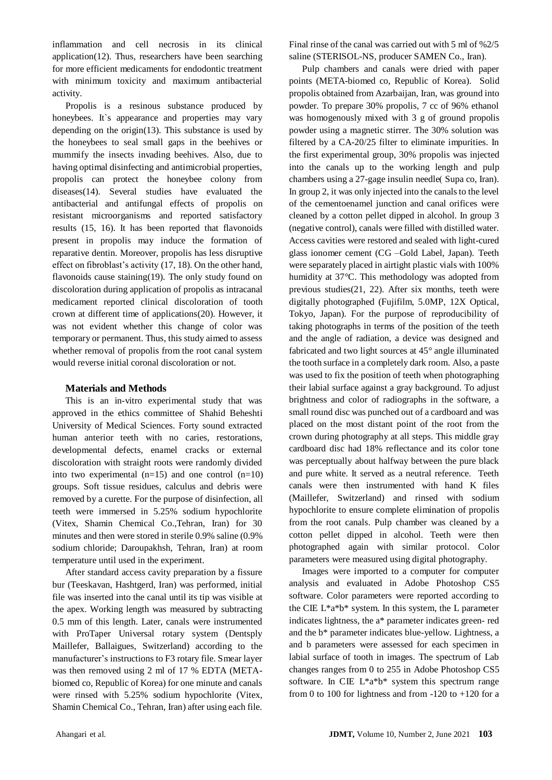inflammation and cell necrosis in its clinical application[\(12\)](#page-4-4). Thus, researchers have been searching for more efficient medicaments for endodontic treatment with minimum toxicity and maximum antibacterial activity.

Propolis is a resinous substance produced by honeybees. It's appearance and properties may vary depending on the origin[\(13\)](#page-4-5). This substance is used by the honeybees to seal small gaps in the beehives or mummify the insects invading beehives. Also, due to having optimal disinfecting and antimicrobial properties, propolis can protect the honeybee colony from diseases[\(14\)](#page-4-6). Several studies have evaluated the antibacterial and antifungal effects of propolis on resistant microorganisms and reported satisfactory results [\(15,](#page-4-7) [16\)](#page-4-8). It has been reported that flavonoids present in propolis may induce the formation of reparative dentin. Moreover, propolis has less disruptive effect on fibroblast's activity [\(17,](#page-4-9) [18\)](#page-4-10). On the other hand, flavonoids cause staining[\(19\)](#page-4-11). The only study found on discoloration during application of propolis as intracanal medicament reported clinical discoloration of tooth crown at different time of applications[\(20\)](#page-4-12). However, it was not evident whether this change of color was temporary or permanent. Thus, this study aimed to assess whether removal of propolis from the root canal system would reverse initial coronal discoloration or not.

# **Materials and Methods**

This is an in-vitro experimental study that was approved in the ethics committee of Shahid Beheshti University of Medical Sciences. Forty sound extracted human anterior teeth with no caries, restorations, developmental defects, enamel cracks or external discoloration with straight roots were randomly divided into two experimental  $(n=15)$  and one control  $(n=10)$ groups. Soft tissue residues, calculus and debris were removed by a curette. For the purpose of disinfection, all teeth were immersed in 5.25% sodium hypochlorite (Vitex, Shamin Chemical Co.,Tehran, Iran) for 30 minutes and then were stored in sterile 0.9% saline (0.9% sodium chloride; Daroupakhsh, Tehran, Iran) at room temperature until used in the experiment.

After standard access cavity preparation by a fissure bur (Teeskavan, Hashtgerd, Iran) was performed, initial file was inserted into the canal until its tip was visible at the apex. Working length was measured by subtracting 0.5 mm of this length. Later, canals were instrumented with ProTaper Universal rotary system (Dentsply Maillefer, Ballaigues, Switzerland) according to the manufacturer's instructions to F3 rotary file. Smear layer was then removed using 2 ml of 17 % EDTA (METAbiomed co, Republic of Korea) for one minute and canals were rinsed with 5.25% sodium hypochlorite (Vitex, Shamin Chemical Co., Tehran, Iran) after using each file.

Final rinse of the canal was carried out with 5 ml of %2/5 saline (STERISOL-NS, producer SAMEN Co., Iran).

Pulp chambers and canals were dried with paper points (META-biomed co, Republic of Korea). Solid propolis obtained from Azarbaijan, Iran, was ground into powder. To prepare 30% propolis, 7 cc of 96% ethanol was homogenously mixed with 3 g of ground propolis powder using a magnetic stirrer. The 30% solution was filtered by a CA-20/25 filter to eliminate impurities. In the first experimental group, 30% propolis was injected into the canals up to the working length and pulp chambers using a 27-gage insulin needle(Supa co, Iran). In group 2, it was only injected into the canals to the level of the cementoenamel junction and canal orifices were cleaned by a cotton pellet dipped in alcohol. In group 3 (negative control), canals were filled with distilled water. Access cavities were restored and sealed with light-cured glass ionomer cement (CG –Gold Label, Japan). Teeth were separately placed in airtight plastic vials with 100% humidity at 37°C. This methodology was adopted from previous studies[\(21,](#page-4-13) [22\)](#page-4-14). After six months, teeth were digitally photographed (Fujifilm, 5.0MP, 12X Optical, Tokyo, Japan). For the purpose of reproducibility of taking photographs in terms of the position of the teeth and the angle of radiation, a device was designed and fabricated and two light sources at 45° angle illuminated the tooth surface in a completely dark room. Also, a paste was used to fix the position of teeth when photographing their labial surface against a gray background. To adjust brightness and color of radiographs in the software, a small round disc was punched out of a cardboard and was placed on the most distant point of the root from the crown during photography at all steps. This middle gray cardboard disc had 18% reflectance and its color tone was perceptually about halfway between the pure black and pure white. It served as a neutral reference. Teeth canals were then instrumented with hand K files (Maillefer, Switzerland) and rinsed with sodium hypochlorite to ensure complete elimination of propolis from the root canals. Pulp chamber was cleaned by a cotton pellet dipped in alcohol. Teeth were then photographed again with similar protocol. Color parameters were measured using digital photography.

Images were imported to a computer for computer analysis and evaluated in Adobe Photoshop CS5 software. Color parameters were reported according to the CIE  $L^*a^*b^*$  system. In this system, the L parameter indicates lightness, the a\* parameter indicates green- red and the b\* parameter indicates blue-yellow. Lightness, a and b parameters were assessed for each specimen in labial surface of tooth in images. The spectrum of Lab changes ranges from 0 to 255 in Adobe Photoshop CS5 software. In CIE L\*a\*b\* system this spectrum range from 0 to 100 for lightness and from  $-120$  to  $+120$  for a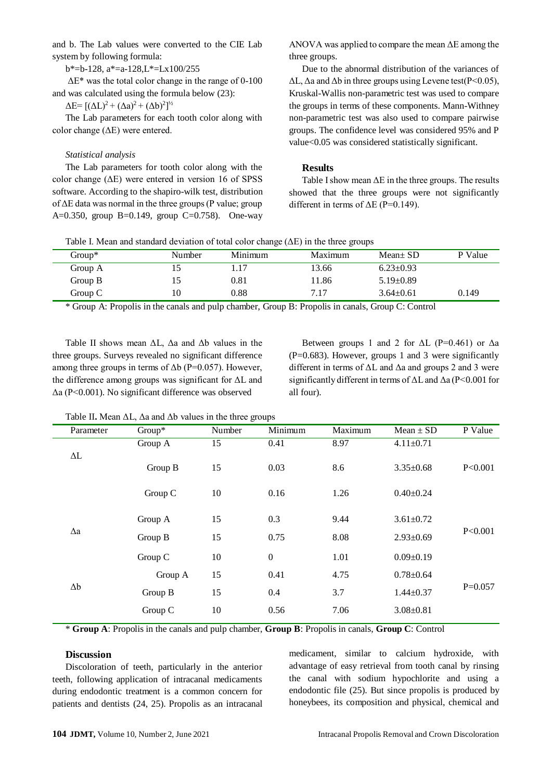and b. The Lab values were converted to the CIE Lab system by following formula:

b\*=b-128, a\*=a-128,L\*=Lx100/255

ΔE\* was the total color change in the range of 0-100 and was calculated using the formula below [\(23\)](#page-4-15):

 $\Delta E = [(\Delta L)^2 + (\Delta a)^2 + (\Delta b)^2]^{1/2}$ 

The Lab parameters for each tooth color along with color change (ΔE) were entered.

#### *Statistical analysis*

The Lab parameters for tooth color along with the color change  $(\Delta E)$  were entered in version 16 of SPSS software. According to the shapiro-wilk test, distribution of ΔE data was normal in the three groups (P value; group A=0.350, group B=0.149, group C=0.758). One-way

ANOVA was applied to compare the mean ΔE among the three groups.

Due to the abnormal distribution of the variances of  $\Delta L$ ,  $\Delta a$  and  $\Delta b$  in three groups using Levene test(P<0.05), Kruskal-Wallis non-parametric test was used to compare the groups in terms of these components. Mann-Withney non-parametric test was also used to compare pairwise groups. The confidence level was considered 95% and P value<0.05 was considered statistically significant.

#### **Results**

Table I show mean  $\Delta E$  in the three groups. The results showed that the three groups were not significantly different in terms of  $\Delta E$  (P=0.149).

| Table I. Mean and standard deviation of total color change $(\Delta E)$ in the three groups |  |  |  |
|---------------------------------------------------------------------------------------------|--|--|--|
|---------------------------------------------------------------------------------------------|--|--|--|

| $Group^*$ | Number | Minimum | Maximum | $Mean \pm SD$   | P Value |
|-----------|--------|---------|---------|-----------------|---------|
| Group A   |        |         | 13.66   | $6.23 \pm 0.93$ |         |
| Group B   |        | 0.81    | 11.86   | $5.19 \pm 0.89$ |         |
| Group C   | 10     | 0.88    | 7.17    | $3.64 \pm 0.61$ | 0.149   |

\* Group A: Propolis in the canals and pulp chamber, Group B: Propolis in canals, Group C: Control

Table II shows mean  $\Delta L$ ,  $\Delta a$  and  $\Delta b$  values in the three groups. Surveys revealed no significant difference among three groups in terms of  $\Delta b$  (P=0.057). However, the difference among groups was significant for  $\Delta L$  and Δa (P<0.001). No significant difference was observed

Between groups 1 and 2 for  $\Delta L$  (P=0.461) or  $\Delta a$  $(P=0.683)$ . However, groups 1 and 3 were significantly different in terms of  $\Delta L$  and  $\Delta a$  and groups 2 and 3 were significantly different in terms of ΔL and Δa (P<0.001 for all four).

|            | Parameter  | Group*  | Number | Minimum          | Maximum | $Mean \pm SD$   | P Value   |
|------------|------------|---------|--------|------------------|---------|-----------------|-----------|
|            |            | Group A | 15     | 0.41             | 8.97    | $4.11 \pm 0.71$ |           |
|            | $\Delta L$ |         |        |                  |         |                 |           |
|            |            | Group B | 15     | 0.03             | 8.6     | $3.35 \pm 0.68$ | P<0.001   |
|            |            |         |        |                  |         |                 |           |
|            |            | Group C | 10     | 0.16             | 1.26    | $0.40 \pm 0.24$ |           |
|            |            |         |        |                  |         |                 |           |
|            |            | Group A | 15     | 0.3              | 9.44    | $3.61 \pm 0.72$ |           |
|            | $\Delta a$ | Group B | 15     | 0.75             | 8.08    | $2.93 \pm 0.69$ | P<0.001   |
|            |            |         |        |                  |         |                 |           |
|            |            | Group C | 10     | $\boldsymbol{0}$ | 1.01    | $0.09 \pm 0.19$ |           |
| $\Delta b$ |            | Group A | 15     | 0.41             | 4.75    | $0.78 \pm 0.64$ |           |
|            |            | Group B | 15     | 0.4              | 3.7     | $1.44 \pm 0.37$ | $P=0.057$ |
|            |            |         |        |                  |         |                 |           |
|            |            | Group C | 10     | 0.56             | 7.06    | $3.08 \pm 0.81$ |           |
|            |            |         |        |                  |         |                 |           |

Table II**.** Mean ΔL, Δa and Δb values in the three groups

\* **Group A**: Propolis in the canals and pulp chamber, **Group B**: Propolis in canals, **Group C**: Control

# **Discussion**

Discoloration of teeth, particularly in the anterior teeth, following application of intracanal medicaments during endodontic treatment is a common concern for patients and dentists [\(24,](#page-4-16) [25\)](#page-4-17). Propolis as an intracanal

medicament, similar to calcium hydroxide, with advantage of easy retrieval from tooth canal by rinsing the canal with sodium hypochlorite and using a endodontic file [\(25\)](#page-4-17). But since propolis is produced by honeybees, its composition and physical, chemical and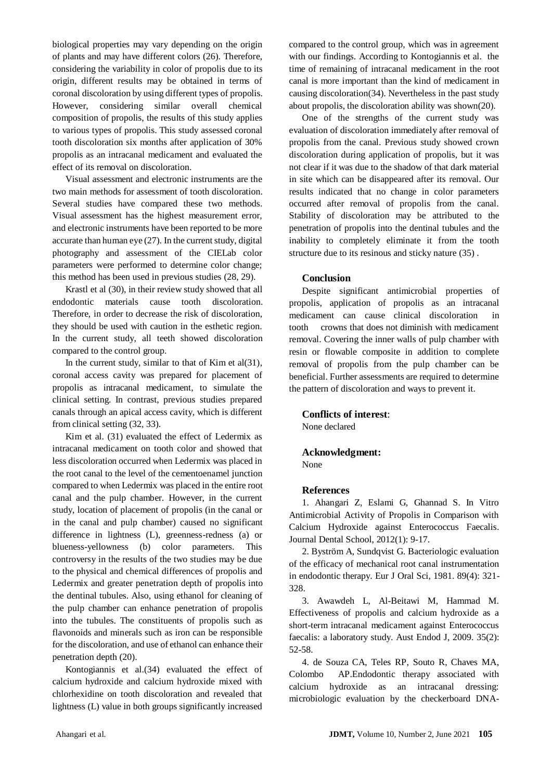biological properties may vary depending on the origin of plants and may have different colors [\(26\)](#page-4-18). Therefore, considering the variability in color of propolis due to its origin, different results may be obtained in terms of coronal discoloration by using different types of propolis. However, considering similar overall chemical composition of propolis, the results of this study applies to various types of propolis. This study assessed coronal tooth discoloration six months after application of 30% propolis as an intracanal medicament and evaluated the effect of its removal on discoloration.

Visual assessment and electronic instruments are the two main methods for assessment of tooth discoloration. Several studies have compared these two methods. Visual assessment has the highest measurement error, and electronic instruments have been reported to be more accurate than human eye [\(27\)](#page-4-19). In the current study, digital photography and assessment of the CIELab color parameters were performed to determine color change; this method has been used in previous studies [\(28,](#page-4-20) [29\)](#page-4-21).

Krastl et al (30), in their review study showed that all endodontic materials cause tooth discoloration. Therefore, in order to decrease the risk of discoloration, they should be used with caution in the esthetic region. In the current study, all teeth showed discoloration compared to the control group.

In the current study, similar to that of Kim et al $(31)$ , coronal access cavity was prepared for placement of propolis as intracanal medicament, to simulate the clinical setting. In contrast, previous studies prepared canals through an apical access cavity, which is different from clinical setting [\(32,](#page-5-1) [33\)](#page-5-2).

Kim et al. (31) evaluated the effect of Ledermix as intracanal medicament on tooth color and showed that less discoloration occurred when Ledermix was placed in the root canal to the level of the cementoenamel junction compared to when Ledermix was placed in the entire root canal and the pulp chamber. However, in the current study, location of placement of propolis (in the canal or in the canal and pulp chamber) caused no significant difference in lightness (L), greenness-redness (a) or blueness-yellowness (b) color parameters. This controversy in the results of the two studies may be due to the physical and chemical differences of propolis and Ledermix and greater penetration depth of propolis into the dentinal tubules. Also, using ethanol for cleaning of the pulp chamber can enhance penetration of propolis into the tubules. The constituents of propolis such as flavonoids and minerals such as iron can be responsible for the discoloration, and use of ethanol can enhance their penetration depth [\(20\)](#page-4-12).

Kontogiannis et al.(34) evaluated the effect of calcium hydroxide and calcium hydroxide mixed with chlorhexidine on tooth discoloration and revealed that lightness (L) value in both groups significantly increased

compared to the control group, which was in agreement with our findings. According to Kontogiannis et al. the time of remaining of intracanal medicament in the root canal is more important than the kind of medicament in causing discoloration[\(34\)](#page-5-3). Nevertheless in the past study about propolis, the discoloration ability was shown[\(20\)](#page-4-12).

One of the strengths of the current study was evaluation of discoloration immediately after removal of propolis from the canal. Previous study showed crown discoloration during application of propolis, but it was not clear if it was due to the shadow of that dark material in site which can be disappeared after its removal. Our results indicated that no change in color parameters occurred after removal of propolis from the canal. Stability of discoloration may be attributed to the penetration of propolis into the dentinal tubules and the inability to completely eliminate it from the tooth structure due to its resinous and sticky nature [\(35\)](#page-5-4) .

# **Conclusion**

Despite significant antimicrobial properties of propolis, application of propolis as an intracanal medicament can cause clinical discoloration in tooth crowns that does not diminish with medicament removal. Covering the inner walls of pulp chamber with resin or flowable composite in addition to complete removal of propolis from the pulp chamber can be beneficial. Further assessments are required to determine the pattern of discoloration and ways to prevent it.

# **Conflicts of interest**:

None declared

# **Acknowledgment:**

None

# **References**

<span id="page-3-0"></span>1. Ahangari Z, Eslami G, Ghannad S. In Vitro Antimicrobial Activity of Propolis in Comparison with Calcium Hydroxide against Enterococcus Faecalis. Journal Dental School, 2012(1): 9-17.

<span id="page-3-1"></span>2. Byström A, Sundqvist G. Bacteriologic evaluation of the efficacy of mechanical root canal instrumentation in endodontic therapy. Eur J Oral Sci, 1981. 89(4): 321- 328.

<span id="page-3-2"></span>3. Awawdeh L, Al-Beitawi M, Hammad M. Effectiveness of propolis and calcium hydroxide as a short-term intracanal medicament against Enterococcus faecalis: a laboratory study. Aust Endod J, 2009. 35(2): 52-58.

4. [de Souza CA,](https://www.ncbi.nlm.nih.gov/pubmed/?term=de%20Souza%20CA%5BAuthor%5D&cauthor=true&cauthor_uid=15671813) [Teles RP,](https://www.ncbi.nlm.nih.gov/pubmed/?term=Teles%20RP%5BAuthor%5D&cauthor=true&cauthor_uid=15671813) [Souto R,](https://www.ncbi.nlm.nih.gov/pubmed/?term=Souto%20R%5BAuthor%5D&cauthor=true&cauthor_uid=15671813) [Chaves MA,](https://www.ncbi.nlm.nih.gov/pubmed/?term=Chaves%20MA%5BAuthor%5D&cauthor=true&cauthor_uid=15671813) [Colombo AP.](https://www.ncbi.nlm.nih.gov/pubmed/?term=Colombo%20AP%5BAuthor%5D&cauthor=true&cauthor_uid=15671813)Endodontic therapy associated with calcium hydroxide as an intracanal dressing: microbiologic evaluation by the checkerboard DNA-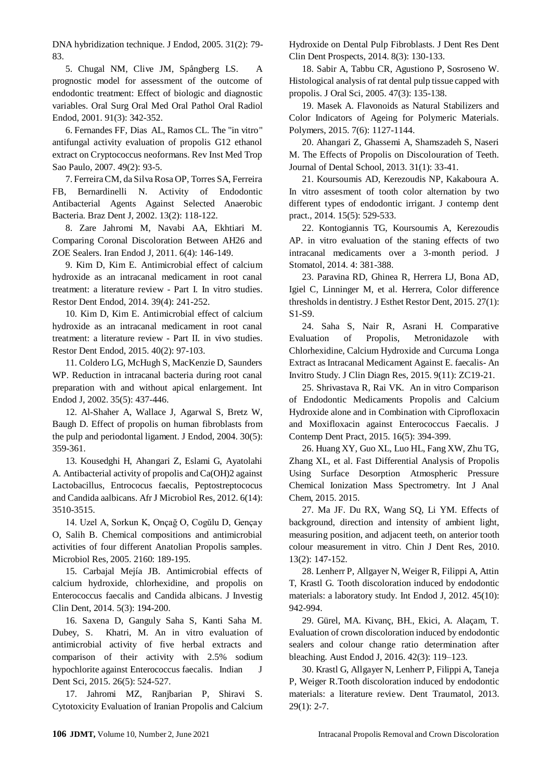DNA hybridization technique. J Endod, 2005. 31(2): 79- 83.

5. [Chugal NM,](https://www.ncbi.nlm.nih.gov/pubmed/?term=Chugal%20NM%5BAuthor%5D&cauthor=true&cauthor_uid=11250634) [Clive JM,](https://www.ncbi.nlm.nih.gov/pubmed/?term=Clive%20JM%5BAuthor%5D&cauthor=true&cauthor_uid=11250634) [Spångberg LS.](https://www.ncbi.nlm.nih.gov/pubmed/?term=Sp%C3%A5ngberg%20LS%5BAuthor%5D&cauthor=true&cauthor_uid=11250634) A prognostic model for assessment of the outcome of endodontic treatment: Effect of biologic and diagnostic variables. Oral Surg Oral Med Oral Pathol Oral Radiol Endod, 2001. 91(3): 342-352.

<span id="page-4-0"></span>6[. Fernandes FF,](https://www.ncbi.nlm.nih.gov/pubmed/?term=Fernandes%20FF%5BAuthor%5D&cauthor=true&cauthor_uid=17505666) [Dias AL,](https://www.ncbi.nlm.nih.gov/pubmed/?term=Dias%20AL%5BAuthor%5D&cauthor=true&cauthor_uid=17505666) [Ramos CL.](https://www.ncbi.nlm.nih.gov/pubmed/?term=Ramos%20CL%5BAuthor%5D&cauthor=true&cauthor_uid=17505666) The "in vitro" antifungal activity evaluation of propolis G12 ethanol extract on Cryptococcus neoformans. Rev Inst Med Trop Sao Paulo, 2007. 49(2): 93-5.

7. Ferreira CM, da Silva Rosa OP, Torres SA, Ferreira FB, Bernardinelli N. Activity of Endodontic Antibacterial Agents Against Selected Anaerobic Bacteria. Braz Dent J, 2002. 13(2): 118-122.

8. Zare Jahromi M, Navabi AA, Ekhtiari M. Comparing Coronal Discoloration Between AH26 and ZOE Sealers. Iran Endod J, 2011. 6(4): 146-149.

<span id="page-4-1"></span>9. Kim D, Kim E. Antimicrobial effect of calcium hydroxide as an intracanal medicament in root canal treatment: a literature review - Part I. In vitro studies. Restor Dent Endod, 2014. 39(4): 241-252.

<span id="page-4-2"></span>10. Kim D, Kim E. Antimicrobial effect of calcium hydroxide as an intracanal medicament in root canal treatment: a literature review - Part II. in vivo studies. Restor Dent Endod, 2015. 40(2): 97-103.

<span id="page-4-3"></span>11. Coldero LG, McHugh S, MacKenzie D, Saunders WP. Reduction in intracanal bacteria during root canal preparation with and without apical enlargement. Int Endod J, 2002. 35(5): 437-446.

<span id="page-4-4"></span>12. Al-Shaher A, Wallace J, Agarwal S, Bretz W, Baugh D. Effect of propolis on human fibroblasts from the pulp and periodontal ligament. J Endod, 2004. 30(5): 359-361.

<span id="page-4-5"></span>13. Kousedghi H, Ahangari Z, Eslami G, Ayatolahi A. Antibacterial activity of propolis and Ca(OH)2 against Lactobacillus, Entrococus faecalis, Peptostreptococus and Candida aalbicans. Afr J Microbiol Res, 2012. 6(14): 3510-3515.

<span id="page-4-6"></span>14. Uzel A, Sorkun K, Onçağ O, Cogŭlu D, Gençay O, Salih B. Chemical compositions and antimicrobial activities of four different Anatolian Propolis samples. Microbiol Res, 2005. 2160: 189-195.

<span id="page-4-7"></span>15. Carbajal Mejía JB. Antimicrobial effects of calcium hydroxide, chlorhexidine, and propolis on Enterococcus faecalis and Candida albicans. J Investig Clin Dent, 2014. 5(3): 194-200.

<span id="page-4-8"></span>16. Saxena D, Ganguly Saha S, Kanti Saha M. Dubey, S. Khatri, M. An in vitro evaluation of antimicrobial activity of five herbal extracts and comparison of their activity with 2.5% sodium hypochlorite against Enterococcus faecalis. Indian J Dent Sci, 2015. 26(5): 524-527.

<span id="page-4-9"></span>17. Jahromi MZ, Ranjbarian P, Shiravi S. Cytotoxicity Evaluation of Iranian Propolis and Calcium Hydroxide on Dental Pulp Fibroblasts. J Dent Res Dent Clin Dent Prospects, 2014. 8(3): 130-133.

<span id="page-4-10"></span>18. Sabir A, Tabbu CR, Agustiono P, Sosroseno W. Histological analysis of rat dental pulp tissue capped with propolis. J Oral Sci, 2005. 47(3): 135-138.

<span id="page-4-11"></span>19. Masek A. Flavonoids as Natural Stabilizers and Color Indicators of Ageing for Polymeric Materials. Polymers, 2015. 7(6): 1127-1144.

<span id="page-4-12"></span>20. Ahangari Z, Ghassemi A, Shamszadeh S, Naseri M. The Effects of Propolis on Discolouration of Teeth. Journal of Dental School, 2013. 31(1): 33-41.

<span id="page-4-13"></span>21. Koursoumis AD, Kerezoudis NP, Kakaboura A. In vitro assesment of tooth color alternation by two different types of endodontic irrigant. J contemp dent pract., 2014. 15(5): 529-533.

<span id="page-4-14"></span>22. Kontogiannis TG, Koursoumis A, Kerezoudis AP. in vitro evaluation of the staning effects of two intracanal medicaments over a 3-month period. J Stomatol, 2014. 4: 381-388.

<span id="page-4-15"></span>23. Paravina RD, Ghinea R, Herrera LJ, Bona AD, Igiel C, Linninger M, et al. Herrera, Color difference thresholds in dentistry. J Esthet Restor Dent, 2015. 27(1): S1-S9.

<span id="page-4-16"></span>24. Saha S, Nair R, Asrani H. Comparative Evaluation of Propolis, Metronidazole with Chlorhexidine, Calcium Hydroxide and Curcuma Longa Extract as Intracanal Medicament Against E. faecalis- An Invitro Study. J Clin Diagn Res, 2015. 9(11): ZC19-21.

<span id="page-4-17"></span>25. Shrivastava R, Rai VK. An in vitro Comparison of Endodontic Medicaments Propolis and Calcium Hydroxide alone and in Combination with Ciprofloxacin and Moxifloxacin against Enterococcus Faecalis. J Contemp Dent Pract, 2015. 16(5): 394-399.

<span id="page-4-18"></span>26. Huang XY, Guo XL, Luo HL, Fang XW, Zhu TG, Zhang XL, et al. Fast Differential Analysis of Propolis Using Surface Desorption Atmospheric Pressure Chemical Ionization Mass Spectrometry. Int J Anal Chem, 2015. 2015.

<span id="page-4-19"></span>27. Ma JF. Du RX, Wang SQ, Li YM. Effects of background, direction and intensity of ambient light, measuring position, and adjacent teeth, on anterior tooth colour measurement in vitro. Chin J Dent Res, 2010. 13(2): 147-152.

<span id="page-4-20"></span>28. Lenherr P, Allgayer N, Weiger R, Filippi A, Attin T, Krastl G. Tooth discoloration induced by endodontic materials: a laboratory study. Int Endod J, 2012. 45(10): 942-994.

<span id="page-4-21"></span>29. Gürel, MA. Kivanç, BH., Ekici, A. Alaçam, T. Evaluation of crown discoloration induced by endodontic sealers and colour change ratio determination after bleaching. Aust Endod J, 2016. 42(3): 119–123.

30. Krastl G, Allgayer N, Lenherr P, Filippi A, Taneja P, Weiger R.Tooth discoloration induced by endodontic materials: a literature review. Dent Traumatol, 2013. 29(1): 2-7.